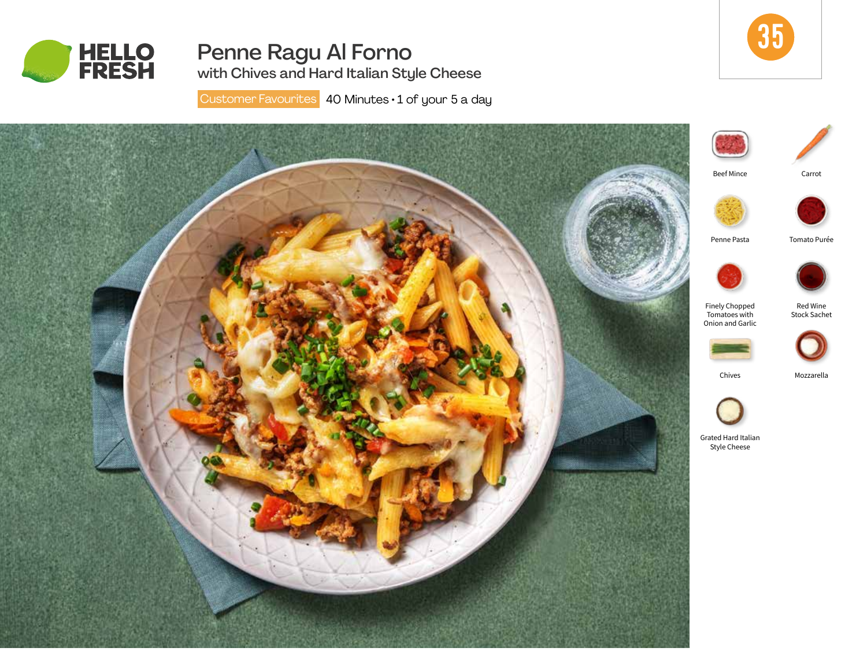

# Penne Ragu Al Forno



with Chives and Hard Italian Style Cheese

Customer Favourites 40 Minutes · 1 of your 5 a day